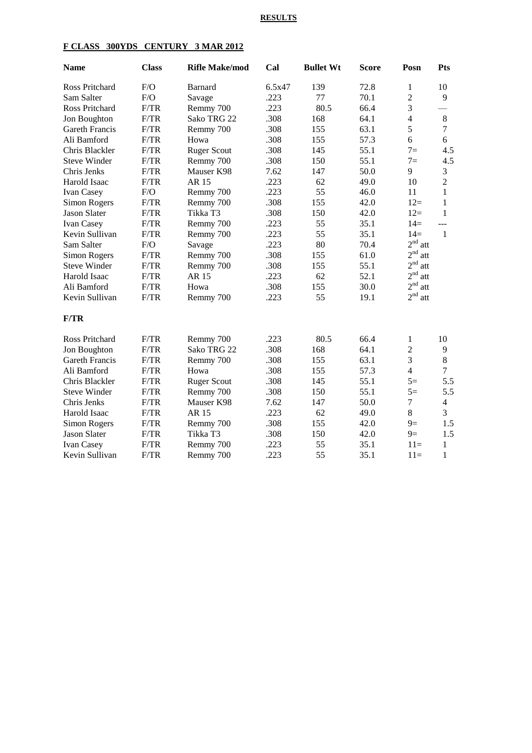### **RESULTS**

# **F CLASS 300YDS CENTURY 3 MAR 2012**

| <b>Name</b>           | <b>Class</b> | <b>Rifle Make/mod</b> | Cal    | <b>Bullet Wt</b> | <b>Score</b> | Posn                   | <b>Pts</b>     |
|-----------------------|--------------|-----------------------|--------|------------------|--------------|------------------------|----------------|
| Ross Pritchard        | F/O          | <b>Barnard</b>        | 6.5x47 | 139              | 72.8         | $\mathbf{1}$           | 10             |
| Sam Salter            | F/O          | Savage                | .223   | 77               | 70.1         | $\overline{c}$         | 9              |
| Ross Pritchard        | F/TR         | Remmy 700             | .223   | 80.5             | 66.4         | $\overline{3}$         |                |
| Jon Boughton          | F/TR         | Sako TRG 22           | .308   | 168              | 64.1         | $\overline{4}$         | $\,8\,$        |
| Gareth Francis        | F/TR         | Remmy 700             | .308   | 155              | 63.1         | 5                      | $\tau$         |
| Ali Bamford           | F/TR         | Howa                  | .308   | 155              | 57.3         | 6                      | 6              |
| Chris Blackler        | F/TR         | <b>Ruger Scout</b>    | .308   | 145              | 55.1         | $7=$                   | 4.5            |
| <b>Steve Winder</b>   | F/TR         | Remmy 700             | .308   | 150              | 55.1         | $7=$                   | 4.5            |
| Chris Jenks           | F/TR         | Mauser K98            | 7.62   | 147              | 50.0         | 9                      | 3              |
| Harold Isaac          | F/TR         | AR 15                 | .223   | 62               | 49.0         | 10                     | $\overline{2}$ |
| Ivan Casey            | F/O          | Remmy 700             | .223   | 55               | 46.0         | 11                     | 1              |
| Simon Rogers          | F/TR         | Remmy 700             | .308   | 155              | 42.0         | $12=$                  | $\mathbf{1}$   |
| <b>Jason Slater</b>   | F/TR         | Tikka T3              | .308   | 150              | 42.0         | $12=$                  | $\mathbf{1}$   |
| Ivan Casey            | F/TR         | Remmy 700             | .223   | 55               | 35.1         | $14=$                  | $---$          |
| Kevin Sullivan        | F/TR         | Remmy 700             | .223   | 55               | 35.1         | $14=$                  | $\overline{1}$ |
| Sam Salter            | F/O          | Savage                | .223   | 80               | 70.4         | 2 <sup>nd</sup><br>att |                |
| Simon Rogers          | F/TR         | Remmy 700             | .308   | 155              | 61.0         | 2 <sup>nd</sup><br>att |                |
| <b>Steve Winder</b>   | F/TR         | Remmy 700             | .308   | 155              | 55.1         | 2 <sup>nd</sup><br>att |                |
| Harold Isaac          | F/TR         | <b>AR15</b>           | .223   | 62               | 52.1         | 2 <sup>nd</sup><br>att |                |
| Ali Bamford           | F/TR         | Howa                  | .308   | 155              | 30.0         | 2 <sup>nd</sup><br>att |                |
| Kevin Sullivan        | F/TR         | Remmy 700             | .223   | 55               | 19.1         | 2 <sup>nd</sup><br>att |                |
| F/TR                  |              |                       |        |                  |              |                        |                |
| Ross Pritchard        | F/TR         | Remmy 700             | .223   | 80.5             | 66.4         | $\mathbf{1}$           | 10             |
| Jon Boughton          | F/TR         | Sako TRG 22           | .308   | 168              | 64.1         | $\overline{c}$         | 9              |
| <b>Gareth Francis</b> | F/TR         | Remmy 700             | .308   | 155              | 63.1         | $\overline{3}$         | 8              |
| Ali Bamford           | F/TR         | Howa                  | .308   | 155              | 57.3         | $\overline{4}$         | $\overline{7}$ |
| Chris Blackler        | F/TR         | <b>Ruger Scout</b>    | .308   | 145              | 55.1         | $5=$                   | 5.5            |
| <b>Steve Winder</b>   | F/TR         | Remmy 700             | .308   | 150              | 55.1         | $5=$                   | 5.5            |
| Chris Jenks           | F/TR         | Mauser K98            | 7.62   | 147              | 50.0         | $\overline{7}$         | $\overline{4}$ |
| Harold Isaac          | F/TR         | <b>AR15</b>           | .223   | 62               | 49.0         | 8                      | 3              |
| Simon Rogers          | F/TR         | Remmy 700             | .308   | 155              | 42.0         | $9=$                   | 1.5            |
| Jason Slater          | F/TR         | Tikka T3              | .308   | 150              | 42.0         | $9=$                   | 1.5            |
| Ivan Casey            | F/TR         | Remmy 700             | .223   | 55               | 35.1         | $11=$                  | $\mathbf{1}$   |
| Kevin Sullivan        | F/TR         | Remmy 700             | .223   | 55               | 35.1         | $11=$                  | $\mathbf 1$    |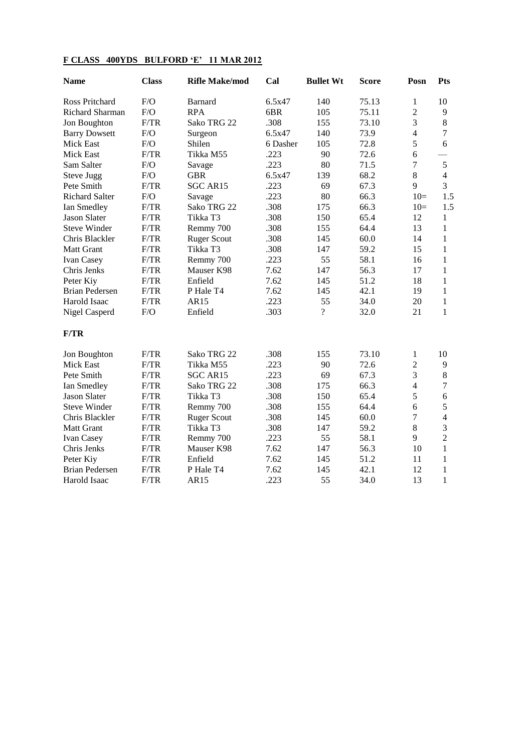# **F CLASS 400YDS BULFORD 'E' 11 MAR 2012**

| <b>Name</b>           | <b>Class</b> | <b>Rifle Make/mod</b> | Cal      | <b>Bullet Wt</b> | <b>Score</b> | Posn           | <b>Pts</b>     |
|-----------------------|--------------|-----------------------|----------|------------------|--------------|----------------|----------------|
| Ross Pritchard        | F/O          | <b>Barnard</b>        | 6.5x47   | 140              | 75.13        | 1              | 10             |
| Richard Sharman       | F/O          | <b>RPA</b>            | 6BR      | 105              | 75.11        | $\overline{2}$ | 9              |
| Jon Boughton          | F/TR         | Sako TRG 22           | .308     | 155              | 73.10        | 3              | $\,8\,$        |
| <b>Barry Dowsett</b>  | F/O          | Surgeon               | 6.5x47   | 140              | 73.9         | $\overline{4}$ | $\overline{7}$ |
| <b>Mick East</b>      | F/O          | Shilen                | 6 Dasher | 105              | 72.8         | 5              | 6              |
| <b>Mick East</b>      | F/TR         | Tikka M55             | .223     | 90               | 72.6         | 6              |                |
| Sam Salter            | F/O          | Savage                | .223     | 80               | 71.5         | $\overline{7}$ | 5              |
| Steve Jugg            | F/O          | <b>GBR</b>            | 6.5x47   | 139              | 68.2         | 8              | $\overline{4}$ |
| Pete Smith            | F/TR         | SGC AR15              | .223     | 69               | 67.3         | 9              | 3              |
| <b>Richard Salter</b> | F/O          | Savage                | .223     | 80               | 66.3         | $10=$          | 1.5            |
| Ian Smedley           | F/TR         | Sako TRG 22           | .308     | 175              | 66.3         | $10=$          | 1.5            |
| <b>Jason Slater</b>   | F/TR         | Tikka T3              | .308     | 150              | 65.4         | 12             | $\mathbf{1}$   |
| <b>Steve Winder</b>   | F/TR         | Remmy 700             | .308     | 155              | 64.4         | 13             | $\mathbf{1}$   |
| Chris Blackler        | F/TR         | <b>Ruger Scout</b>    | .308     | 145              | 60.0         | 14             | $\mathbf{1}$   |
| <b>Matt Grant</b>     | F/TR         | Tikka T3              | .308     | 147              | 59.2         | 15             | 1              |
| Ivan Casey            | F/TR         | Remmy 700             | .223     | 55               | 58.1         | 16             | $\mathbf{1}$   |
| Chris Jenks           | F/TR         | Mauser K98            | 7.62     | 147              | 56.3         | 17             | $\mathbf{1}$   |
| Peter Kiy             | F/TR         | Enfield               | 7.62     | 145              | 51.2         | 18             | $\mathbf{1}$   |
| <b>Brian Pedersen</b> | F/TR         | P Hale T4             | 7.62     | 145              | 42.1         | 19             | $\mathbf{1}$   |
| Harold Isaac          | F/TR         | AR15                  | .223     | 55               | 34.0         | 20             | $\mathbf{1}$   |
| Nigel Casperd         | F/O          | Enfield               | .303     | $\overline{?}$   | 32.0         | 21             | $\mathbf{1}$   |
| F/TR                  |              |                       |          |                  |              |                |                |
| Jon Boughton          | F/TR         | Sako TRG 22           | .308     | 155              | 73.10        | 1              | 10             |
| <b>Mick East</b>      | F/TR         | Tikka M55             | .223     | 90               | 72.6         | $\overline{2}$ | 9              |
| Pete Smith            | F/TR         | SGC AR15              | .223     | 69               | 67.3         | 3              | $\,$ 8 $\,$    |
| Ian Smedley           | F/TR         | Sako TRG 22           | .308     | 175              | 66.3         | $\overline{4}$ | $\tau$         |
| <b>Jason Slater</b>   | F/TR         | Tikka T3              | .308     | 150              | 65.4         | 5              | 6              |
| <b>Steve Winder</b>   | F/TR         | Remmy 700             | .308     | 155              | 64.4         | 6              | 5              |
| Chris Blackler        | F/TR         | <b>Ruger Scout</b>    | .308     | 145              | 60.0         | $\overline{7}$ | $\overline{4}$ |
| <b>Matt Grant</b>     | F/TR         | Tikka T3              | .308     | 147              | 59.2         | 8              | 3              |
| Ivan Casey            | F/TR         | Remmy 700             | .223     | 55               | 58.1         | 9              | $\overline{2}$ |
| Chris Jenks           | F/TR         | Mauser K98            | 7.62     | 147              | 56.3         | 10             | $\mathbf{1}$   |
| Peter Kiy             | F/TR         | Enfield               | 7.62     | 145              | 51.2         | 11             | $\mathbf{1}$   |
| <b>Brian Pedersen</b> | F/TR         | P Hale T <sub>4</sub> | 7.62     | 145              | 42.1         | 12             | $\mathbf{1}$   |
| Harold Isaac          | F/TR         | AR15                  | .223     | 55               | 34.0         | 13             | $\mathbf{1}$   |